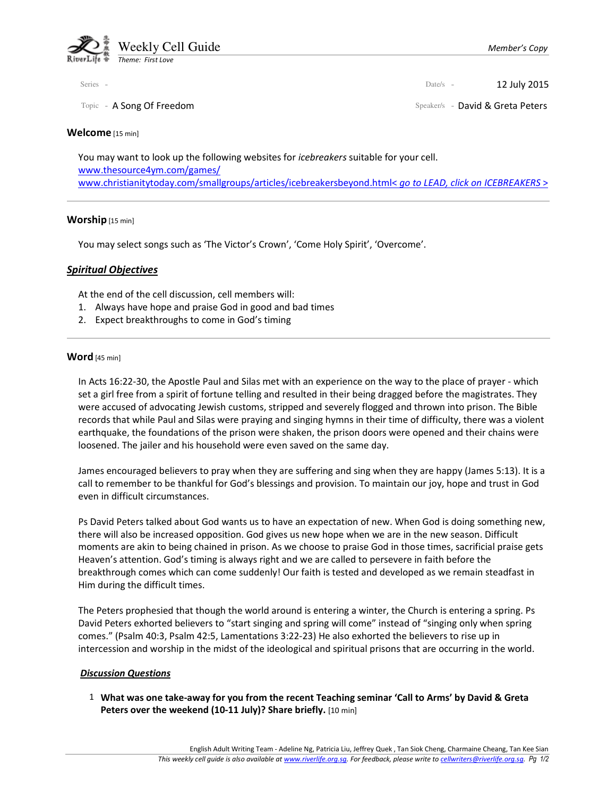

### Welcome [15 min]

You may want to look up the following websites for *icebreakers* suitable for your cell. www.thesource4ym.com/games/ www.christianitytoday.com/smallgroups/articles/icebreakersbeyond.html< go to LEAD, click on ICEBREAKERS >

### Worship [15 min]

You may select songs such as 'The Victor's Crown', 'Come Holy Spirit', 'Overcome'.

# Spiritual Objectives

At the end of the cell discussion, cell members will:

- 1. Always have hope and praise God in good and bad times
- 2. Expect breakthroughs to come in God's timing

## Word [45 min]

In Acts 16:22-30, the Apostle Paul and Silas met with an experience on the way to the place of prayer - which set a girl free from a spirit of fortune telling and resulted in their being dragged before the magistrates. They were accused of advocating Jewish customs, stripped and severely flogged and thrown into prison. The Bible records that while Paul and Silas were praying and singing hymns in their time of difficulty, there was a violent earthquake, the foundations of the prison were shaken, the prison doors were opened and their chains were loosened. The jailer and his household were even saved on the same day.

James encouraged believers to pray when they are suffering and sing when they are happy (James 5:13). It is a call to remember to be thankful for God's blessings and provision. To maintain our joy, hope and trust in God even in difficult circumstances.

Ps David Peters talked about God wants us to have an expectation of new. When God is doing something new, there will also be increased opposition. God gives us new hope when we are in the new season. Difficult moments are akin to being chained in prison. As we choose to praise God in those times, sacrificial praise gets Heaven's attention. God's timing is always right and we are called to persevere in faith before the breakthrough comes which can come suddenly! Our faith is tested and developed as we remain steadfast in Him during the difficult times.

The Peters prophesied that though the world around is entering a winter, the Church is entering a spring. Ps David Peters exhorted believers to "start singing and spring will come" instead of "singing only when spring comes." (Psalm 40:3, Psalm 42:5, Lamentations 3:22-23) He also exhorted the believers to rise up in intercession and worship in the midst of the ideological and spiritual prisons that are occurring in the world.

## Discussion Questions

 1 What was one take-away for you from the recent Teaching seminar 'Call to Arms' by David & Greta Peters over the weekend (10-11 July)? Share briefly. [10 min]

Series - **12 July 2015** 

Topic - A Song Of Freedom Speaker/s - David & Greta Peters